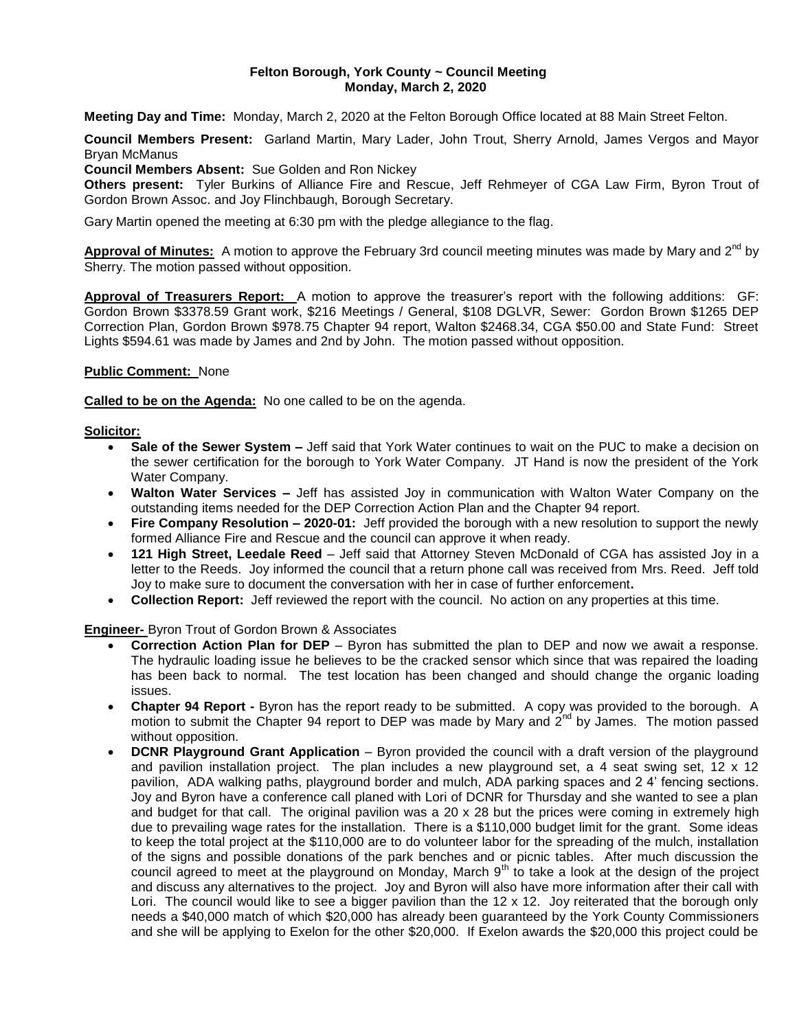#### **Felton Borough, York County ~ Council Meeting Monday, March 2, 2020**

**Meeting Day and Time:** Monday, March 2, 2020 at the Felton Borough Office located at 88 Main Street Felton.

**Council Members Present:** Garland Martin, Mary Lader, John Trout, Sherry Arnold, James Vergos and Mayor Bryan McManus

**Council Members Absent:** Sue Golden and Ron Nickey

**Others present:** Tyler Burkins of Alliance Fire and Rescue, Jeff Rehmeyer of CGA Law Firm, Byron Trout of Gordon Brown Assoc. and Joy Flinchbaugh, Borough Secretary.

Gary Martin opened the meeting at 6:30 pm with the pledge allegiance to the flag.

Approval of Minutes: A motion to approve the February 3rd council meeting minutes was made by Mary and 2<sup>nd</sup> by Sherry. The motion passed without opposition.

**Approval of Treasurers Report:** A motion to approve the treasurer's report with the following additions: GF: Gordon Brown \$3378.59 Grant work, \$216 Meetings / General, \$108 DGLVR, Sewer: Gordon Brown \$1265 DEP Correction Plan, Gordon Brown \$978.75 Chapter 94 report, Walton \$2468.34, CGA \$50.00 and State Fund: Street Lights \$594.61 was made by James and 2nd by John. The motion passed without opposition.

#### **Public Comment:** None

**Called to be on the Agenda:** No one called to be on the agenda.

#### **Solicitor:**

- **Sale of the Sewer System –** Jeff said that York Water continues to wait on the PUC to make a decision on the sewer certification for the borough to York Water Company. JT Hand is now the president of the York Water Company.
- **Walton Water Services –** Jeff has assisted Joy in communication with Walton Water Company on the outstanding items needed for the DEP Correction Action Plan and the Chapter 94 report.
- **Fire Company Resolution – 2020-01:** Jeff provided the borough with a new resolution to support the newly formed Alliance Fire and Rescue and the council can approve it when ready.
- **121 High Street, Leedale Reed** Jeff said that Attorney Steven McDonald of CGA has assisted Joy in a letter to the Reeds. Joy informed the council that a return phone call was received from Mrs. Reed. Jeff told Joy to make sure to document the conversation with her in case of further enforcement**.**
- **Collection Report:** Jeff reviewed the report with the council. No action on any properties at this time.

#### **Engineer-** Byron Trout of Gordon Brown & Associates

- **Correction Action Plan for DEP** Byron has submitted the plan to DEP and now we await a response. The hydraulic loading issue he believes to be the cracked sensor which since that was repaired the loading has been back to normal. The test location has been changed and should change the organic loading issues.
- **Chapter 94 Report -** Byron has the report ready to be submitted. A copy was provided to the borough. A motion to submit the Chapter 94 report to DEP was made by Mary and  $2^{nd}$  by James. The motion passed without opposition.
- **DCNR Playground Grant Application** Byron provided the council with a draft version of the playground and pavilion installation project. The plan includes a new playground set, a 4 seat swing set, 12 x 12 pavilion, ADA walking paths, playground border and mulch, ADA parking spaces and 2 4' fencing sections. Joy and Byron have a conference call planed with Lori of DCNR for Thursday and she wanted to see a plan and budget for that call. The original pavilion was a 20 x 28 but the prices were coming in extremely high due to prevailing wage rates for the installation. There is a \$110,000 budget limit for the grant. Some ideas to keep the total project at the \$110,000 are to do volunteer labor for the spreading of the mulch, installation of the signs and possible donations of the park benches and or picnic tables. After much discussion the council agreed to meet at the playground on Monday, March 9<sup>th</sup> to take a look at the design of the project and discuss any alternatives to the project. Joy and Byron will also have more information after their call with Lori. The council would like to see a bigger pavilion than the 12 x 12. Joy reiterated that the borough only needs a \$40,000 match of which \$20,000 has already been guaranteed by the York County Commissioners and she will be applying to Exelon for the other \$20,000. If Exelon awards the \$20,000 this project could be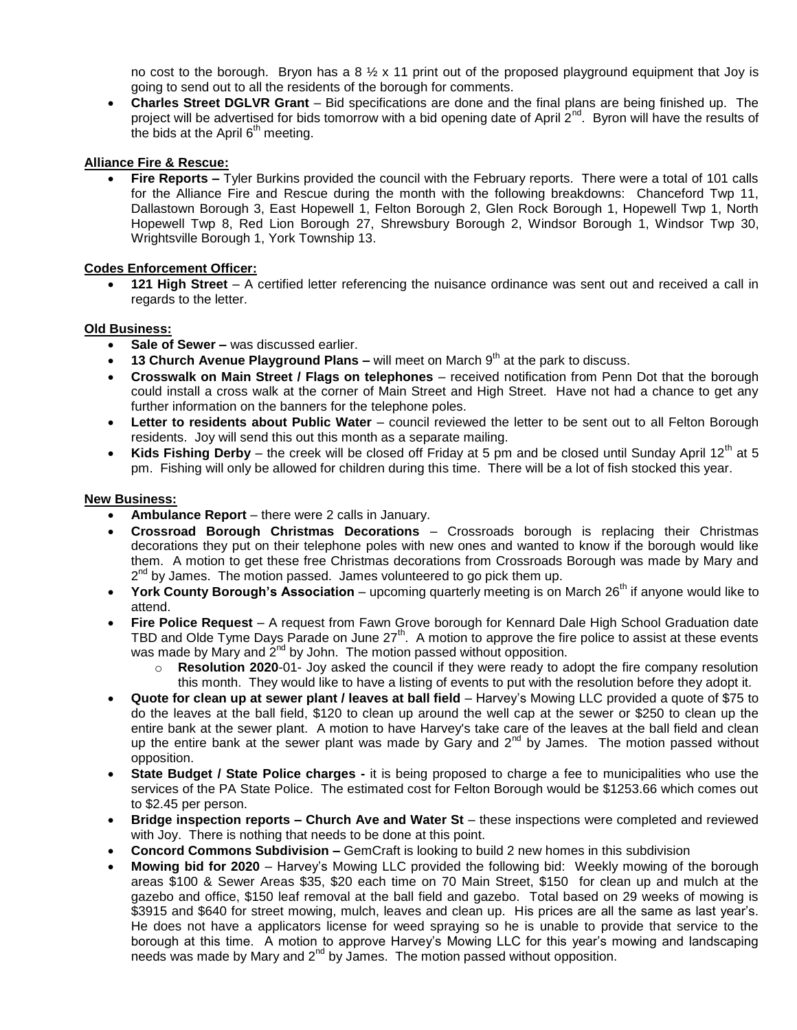no cost to the borough. Bryon has a 8  $\frac{1}{2}$  x 11 print out of the proposed playground equipment that Joy is going to send out to all the residents of the borough for comments.

 **Charles Street DGLVR Grant** – Bid specifications are done and the final plans are being finished up. The project will be advertised for bids tomorrow with a bid opening date of April  $2^{nd}$ . Byron will have the results of the bids at the April  $6<sup>th</sup>$  meeting.

# **Alliance Fire & Rescue:**

 **Fire Reports –** Tyler Burkins provided the council with the February reports. There were a total of 101 calls for the Alliance Fire and Rescue during the month with the following breakdowns: Chanceford Twp 11, Dallastown Borough 3, East Hopewell 1, Felton Borough 2, Glen Rock Borough 1, Hopewell Twp 1, North Hopewell Twp 8, Red Lion Borough 27, Shrewsbury Borough 2, Windsor Borough 1, Windsor Twp 30, Wrightsville Borough 1, York Township 13.

## **Codes Enforcement Officer:**

 **121 High Street** – A certified letter referencing the nuisance ordinance was sent out and received a call in regards to the letter.

## **Old Business:**

- **Sale of Sewer –** was discussed earlier.
- **13 Church Avenue Playground Plans –** will meet on March 9<sup>th</sup> at the park to discuss.
- **Crosswalk on Main Street / Flags on telephones**  received notification from Penn Dot that the borough could install a cross walk at the corner of Main Street and High Street. Have not had a chance to get any further information on the banners for the telephone poles.
- Letter to residents about Public Water council reviewed the letter to be sent out to all Felton Borough residents. Joy will send this out this month as a separate mailing.
- Kids Fishing Derby the creek will be closed off Friday at 5 pm and be closed until Sunday April 12<sup>th</sup> at 5 pm. Fishing will only be allowed for children during this time. There will be a lot of fish stocked this year.

#### **New Business:**

- **Ambulance Report** there were 2 calls in January.
- **Crossroad Borough Christmas Decorations** Crossroads borough is replacing their Christmas decorations they put on their telephone poles with new ones and wanted to know if the borough would like them. A motion to get these free Christmas decorations from Crossroads Borough was made by Mary and 2<sup>nd</sup> by James. The motion passed. James volunteered to go pick them up.
- **York County Borough's Association** upcoming quarterly meeting is on March 26<sup>th</sup> if anyone would like to attend.
- **Fire Police Request**  A request from Fawn Grove borough for Kennard Dale High School Graduation date TBD and Olde Tyme Days Parade on June  $27<sup>th</sup>$ . A motion to approve the fire police to assist at these events was made by Mary and  $2<sup>nd</sup>$  by John. The motion passed without opposition.
	- o **Resolution 2020**-01- Joy asked the council if they were ready to adopt the fire company resolution this month. They would like to have a listing of events to put with the resolution before they adopt it.
- **Quote for clean up at sewer plant / leaves at ball field**  Harvey's Mowing LLC provided a quote of \$75 to do the leaves at the ball field, \$120 to clean up around the well cap at the sewer or \$250 to clean up the entire bank at the sewer plant. A motion to have Harvey's take care of the leaves at the ball field and clean up the entire bank at the sewer plant was made by Gary and  $2^{nd}$  by James. The motion passed without opposition.
- **State Budget / State Police charges -** it is being proposed to charge a fee to municipalities who use the services of the PA State Police. The estimated cost for Felton Borough would be \$1253.66 which comes out to \$2.45 per person.
- **Bridge inspection reports – Church Ave and Water St** these inspections were completed and reviewed with Joy. There is nothing that needs to be done at this point.
- **Concord Commons Subdivision –** GemCraft is looking to build 2 new homes in this subdivision
- **Mowing bid for 2020** Harvey's Mowing LLC provided the following bid: Weekly mowing of the borough areas \$100 & Sewer Areas \$35, \$20 each time on 70 Main Street, \$150 for clean up and mulch at the gazebo and office, \$150 leaf removal at the ball field and gazebo. Total based on 29 weeks of mowing is \$3915 and \$640 for street mowing, mulch, leaves and clean up. His prices are all the same as last year's. He does not have a applicators license for weed spraying so he is unable to provide that service to the borough at this time. A motion to approve Harvey's Mowing LLC for this year's mowing and landscaping needs was made by Mary and  $2^{nd}$  by James. The motion passed without opposition.